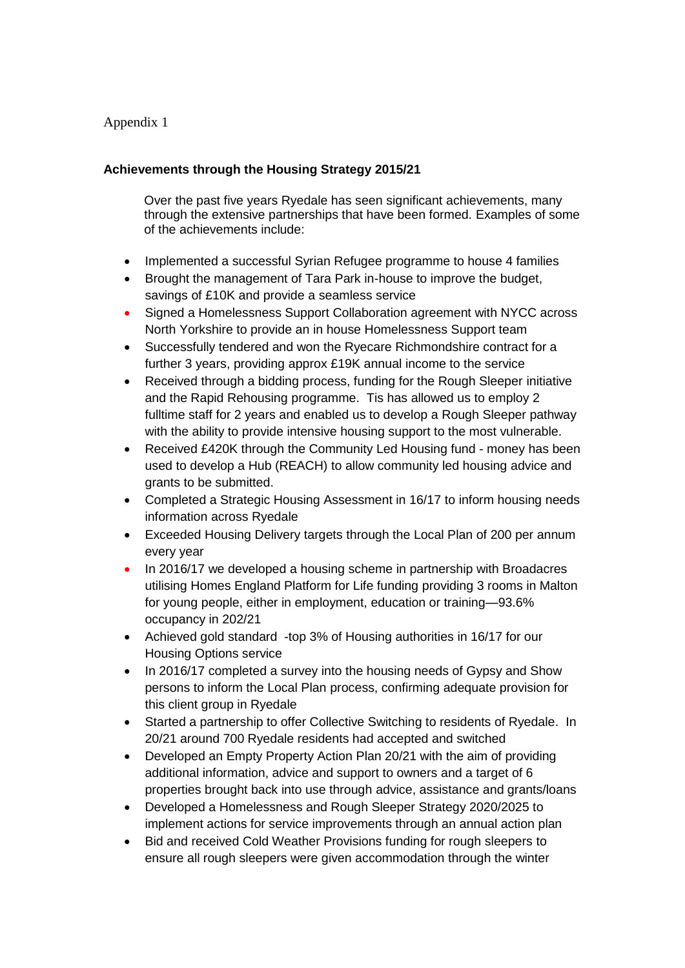## Appendix 1

## **Achievements through the Housing Strategy 2015/21**

Over the past five years Ryedale has seen significant achievements, many through the extensive partnerships that have been formed. Examples of some of the achievements include:

- Implemented a successful Syrian Refugee programme to house 4 families
- Brought the management of Tara Park in-house to improve the budget, savings of £10K and provide a seamless service
- Signed a Homelessness Support Collaboration agreement with NYCC across North Yorkshire to provide an in house Homelessness Support team
- Successfully tendered and won the Ryecare Richmondshire contract for a further 3 years, providing approx £19K annual income to the service
- Received through a bidding process, funding for the Rough Sleeper initiative and the Rapid Rehousing programme. Tis has allowed us to employ 2 fulltime staff for 2 years and enabled us to develop a Rough Sleeper pathway with the ability to provide intensive housing support to the most vulnerable.
- Received £420K through the Community Led Housing fund money has been used to develop a Hub (REACH) to allow community led housing advice and grants to be submitted.
- Completed a Strategic Housing Assessment in 16/17 to inform housing needs information across Ryedale
- Exceeded Housing Delivery targets through the Local Plan of 200 per annum every year
- In 2016/17 we developed a housing scheme in partnership with Broadacres utilising Homes England Platform for Life funding providing 3 rooms in Malton for young people, either in employment, education or training—93.6% occupancy in 202/21
- Achieved gold standard -top 3% of Housing authorities in 16/17 for our Housing Options service
- In 2016/17 completed a survey into the housing needs of Gypsy and Show persons to inform the Local Plan process, confirming adequate provision for this client group in Ryedale
- Started a partnership to offer Collective Switching to residents of Ryedale. In 20/21 around 700 Ryedale residents had accepted and switched
- Developed an Empty Property Action Plan 20/21 with the aim of providing additional information, advice and support to owners and a target of 6 properties brought back into use through advice, assistance and grants/loans
- Developed a Homelessness and Rough Sleeper Strategy 2020/2025 to implement actions for service improvements through an annual action plan
- Bid and received Cold Weather Provisions funding for rough sleepers to ensure all rough sleepers were given accommodation through the winter